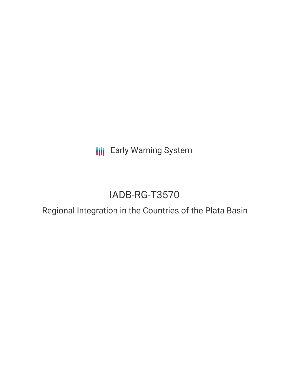**III** Early Warning System

# IADB-RG-T3570

## Regional Integration in the Countries of the Plata Basin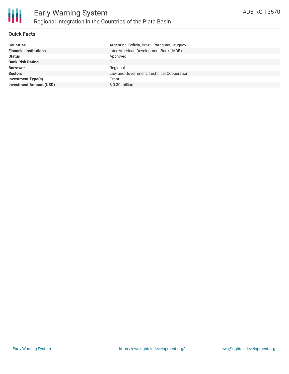

### **Quick Facts**

| <b>Countries</b>               | Argentina, Bolivia, Brazil, Paraguay, Uruguay |
|--------------------------------|-----------------------------------------------|
| <b>Financial Institutions</b>  | Inter-American Development Bank (IADB)        |
| <b>Status</b>                  | Approved                                      |
| <b>Bank Risk Rating</b>        | C                                             |
| <b>Borrower</b>                | Regional                                      |
| <b>Sectors</b>                 | Law and Government, Technical Cooperation     |
| <b>Investment Type(s)</b>      | Grant                                         |
| <b>Investment Amount (USD)</b> | $$0.30$ million                               |
|                                |                                               |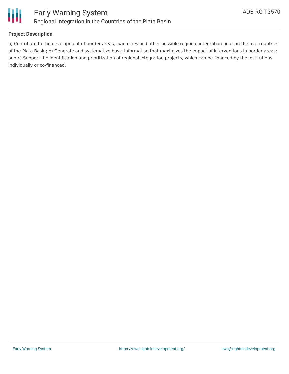

#### **Project Description**

a) Contribute to the development of border areas, twin cities and other possible regional integration poles in the five countries of the Plata Basin; b) Generate and systematize basic information that maximizes the impact of interventions in border areas; and c) Support the identification and prioritization of regional integration projects, which can be financed by the institutions individually or co-financed.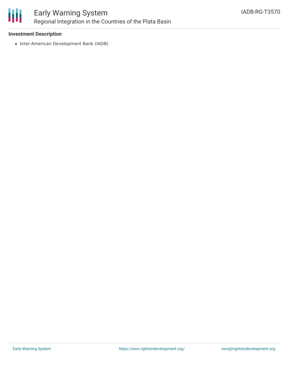

#### **Investment Description**

• Inter-American Development Bank (IADB)